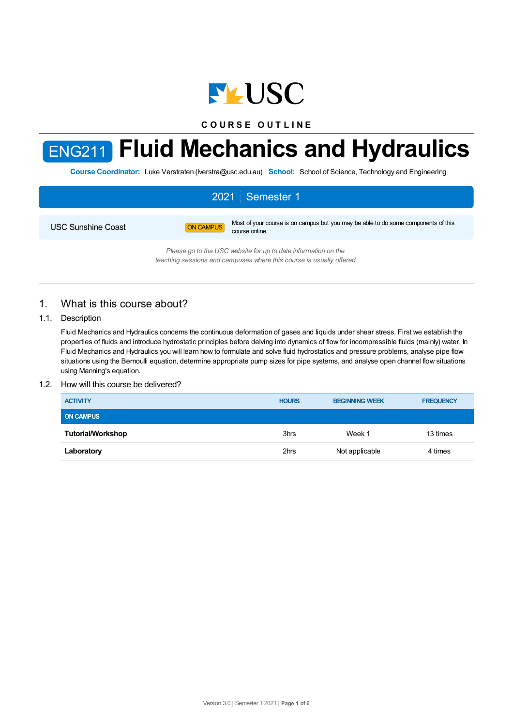

**C O U R S E O U T L I N E**

# ENG211 **Fluid Mechanics and Hydraulics**

**Course Coordinator:** Luke Verstraten (lverstra@usc.edu.au) **School:** School of Science, Technology and Engineering

| 2021 Semester 1           |                  |                                                                                                                                        |  |  |  |
|---------------------------|------------------|----------------------------------------------------------------------------------------------------------------------------------------|--|--|--|
| <b>USC Sunshine Coast</b> | <b>ON CAMPUS</b> | Most of your course is on campus but you may be able to do some components of this<br>course online.                                   |  |  |  |
|                           |                  | Please go to the USC website for up to date information on the<br>teaching sessions and campuses where this course is usually offered. |  |  |  |

# 1. What is this course about?

## 1.1. Description

Fluid Mechanics and Hydraulics concerns the continuous deformation of gases and liquids under shear stress. First we establish the properties of fluids and introduce hydrostatic principles before delving into dynamics of flow for incompressible fluids (mainly) water. In Fluid Mechanics and Hydraulics you will learn how to formulate and solve fluid hydrostatics and pressure problems, analyse pipe flow situations using the Bernoulli equation, determine appropriate pump sizes for pipe systems, and analyse open channel flow situations using Manning's equation.

## 1.2. How will this course be delivered?

| <b>ACTIVITY</b>          | <b>HOURS</b> | <b>BEGINNING WEEK</b> | <b>FREQUENCY</b> |
|--------------------------|--------------|-----------------------|------------------|
| <b>ON CAMPUS</b>         |              |                       |                  |
| <b>Tutorial/Workshop</b> | 3hrs         | Week 1                | 13 times         |
| Laboratory               | 2hrs         | Not applicable        | 4 times          |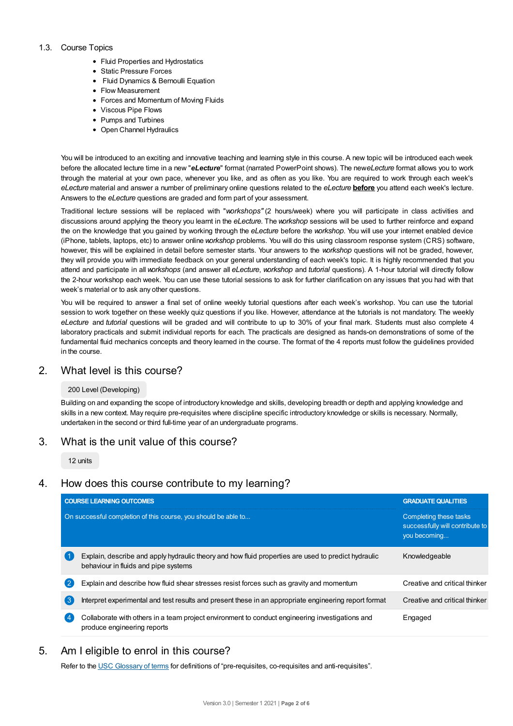## 1.3. Course Topics

- Fluid Properties and Hydrostatics
- Static Pressure Forces
- Fluid Dynamics & Bernoulli Equation
- Flow Measurement
- Forces and Momentum of Moving Fluids
- Viscous Pipe Flows
- Pumps and Turbines
- Open Channel Hydraulics

You will be introduced to an exciting and innovative teaching and learning style in this course. A new topic will be introduced each week before the allocated lecture time in a new "*eLecture*" format (narrated PowerPoint shows). The new*eLecture* format allows you to work through the material at your own pace, whenever you like, and as often as you like. You are required to work through each week's *eLecture* material and answer a number of preliminary online questions related to the *eLecture* **before** you attend each week's lecture. Answers to the *eLecture* questions are graded and form part of your assessment.

Traditional lecture sessions will be replaced with "*workshops"* (2 hours/week) where you will participate in class activities and discussions around applying the theory you learnt in the *eLecture.* The *workshop* sessions will be used to further reinforce and expand the on the knowledge that you gained by working through the *eLecture* before the *workshop*. You will use your internet enabled device (iPhone, tablets, laptops, etc) to answer online *workshop* problems. You will do this using classroom response system (CRS) software, however, this will be explained in detail before semester starts. Your answers to the *workshop* questions will not be graded, however, they will provide you with immediate feedback on your general understanding of each week's topic. It is highly recommended that you attend and participate in all *workshops* (and answer all *eLecture*, *workshop* and *tutorial* questions). A 1-hour tutorial will directly follow the 2-hour workshop each week. You can use these tutorial sessions to ask for further clarification on any issues that you had with that week's material or to ask any other questions.

You will be required to answer a final set of online weekly tutorial questions after each week's workshop. You can use the tutorial session to work together on these weekly quiz questions if you like. However, attendance at the tutorials is not mandatory. The weekly *eLecture* and *tutorial* questions will be graded and will contribute to up to 30% of your final mark. Students must also complete 4 laboratory practicals and submit individual reports for each. The practicals are designed as hands-on demonstrations of some of the fundamental fluid mechanics concepts and theory learned in the course. The format of the 4 reports must follow the guidelines provided in the course.

## 2. What level is this course?

## 200 Level (Developing)

Building on and expanding the scope of introductory knowledge and skills, developing breadth or depth and applying knowledge and skills in a new context. May require pre-requisites where discipline specific introductory knowledge or skills is necessary. Normally, undertaken in the second or third full-time year of an undergraduate programs.

## 3. What is the unit value of this course?

12 units

# 4. How does this course contribute to my learning?

|                | <b>COURSE LEARNING OUTCOMES</b>                                                                                                             | <b>GRADUATE QUALITIES</b>                                                 |
|----------------|---------------------------------------------------------------------------------------------------------------------------------------------|---------------------------------------------------------------------------|
|                | On successful completion of this course, you should be able to                                                                              | Completing these tasks<br>successfully will contribute to<br>you becoming |
|                | Explain, describe and apply hydraulic theory and how fluid properties are used to predict hydraulic<br>behaviour in fluids and pipe systems | Knowledgeable                                                             |
| 2              | Explain and describe how fluid shear stresses resist forces such as gravity and momentum                                                    | Creative and critical thinker                                             |
| 3              | Interpret experimental and test results and present these in an appropriate engineering report format                                       | Creative and critical thinker                                             |
| $\overline{4}$ | Collaborate with others in a team project environment to conduct engineering investigations and<br>produce engineering reports              | Engaged                                                                   |

# 5. Am I eligible to enrol in this course?

Refer to the USC [Glossary](https://www.usc.edu.au/about/policies-and-procedures/glossary-of-terms-for-policy-and-procedures) of terms for definitions of "pre-requisites, co-requisites and anti-requisites".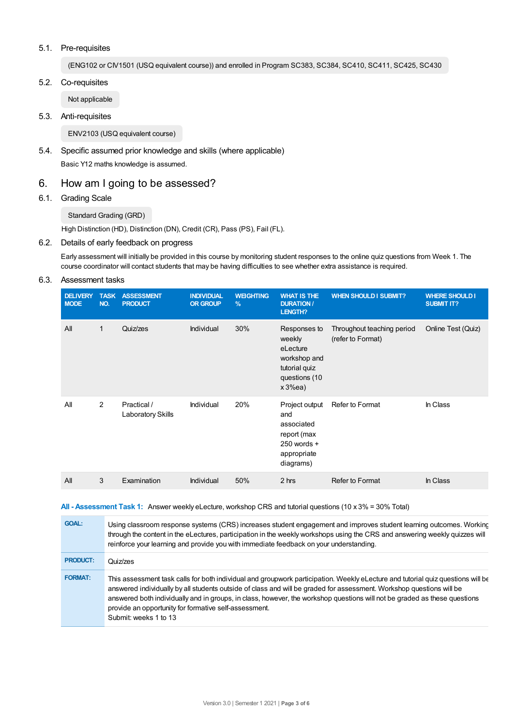## 5.1. Pre-requisites

(ENG102 or CIV1501 (USQ equivalent course)) and enrolled in Program SC383, SC384, SC410, SC411, SC425, SC430

5.2. Co-requisites

Not applicable

5.3. Anti-requisites

ENV2103 (USQ equivalent course)

5.4. Specific assumed prior knowledge and skills (where applicable) Basic Y12 maths knowledge is assumed.

## 6. How am I going to be assessed?

6.1. Grading Scale

## Standard Grading (GRD)

High Distinction (HD), Distinction (DN), Credit (CR), Pass (PS), Fail (FL).

## 6.2. Details of early feedback on progress

Early assessment will initially be provided in this course by monitoring student responses to the online quiz questions from Week 1. The course coordinator will contact students that may be having difficulties to see whether extra assistance is required.

## 6.3. Assessment tasks

| <b>DELIVERY</b><br><b>MODE</b> | <b>TASK</b><br>NO. | <b>ASSESSMENT</b><br><b>PRODUCT</b>     | <b>INDIVIDUAL</b><br><b>OR GROUP</b> | <b>WEIGHTING</b><br>$\%$ | <b>WHAT IS THE</b><br><b>DURATION/</b><br>LENGTH?                                                 | <b>WHEN SHOULD I SUBMIT?</b>                    | <b>WHERE SHOULD I</b><br><b>SUBMIT IT?</b> |
|--------------------------------|--------------------|-----------------------------------------|--------------------------------------|--------------------------|---------------------------------------------------------------------------------------------------|-------------------------------------------------|--------------------------------------------|
| All                            | 1                  | Quiz/zes                                | Individual                           | 30%                      | Responses to<br>weekly<br>eLecture<br>workshop and<br>tutorial quiz<br>questions (10<br>x3%ea     | Throughout teaching period<br>(refer to Format) | Online Test (Quiz)                         |
| All                            | 2                  | Practical /<br><b>Laboratory Skills</b> | Individual                           | 20%                      | Project output<br>and<br>associated<br>report (max<br>$250$ words $+$<br>appropriate<br>diagrams) | Refer to Format                                 | In Class                                   |
| All                            | 3                  | Examination                             | Individual                           | 50%                      | 2 hrs                                                                                             | Refer to Format                                 | In Class                                   |

## **All - Assessment Task 1:** Answer weekly eLecture, workshop CRS and tutorial questions (10 x 3% = 30% Total)

| <b>GOAL:</b>    | Using classroom response systems (CRS) increases student engagement and improves student learning outcomes. Working<br>through the content in the eLectures, participation in the weekly workshops using the CRS and answering weekly quizzes will<br>reinforce your learning and provide you with immediate feedback on your understanding.                                                                                                                           |
|-----------------|------------------------------------------------------------------------------------------------------------------------------------------------------------------------------------------------------------------------------------------------------------------------------------------------------------------------------------------------------------------------------------------------------------------------------------------------------------------------|
| <b>PRODUCT:</b> | Quiz/zes                                                                                                                                                                                                                                                                                                                                                                                                                                                               |
| <b>FORMAT:</b>  | This assessment task calls for both individual and groupwork participation. Weekly eLecture and tutorial quiz questions will be<br>answered individually by all students outside of class and will be graded for assessment. Workshop questions will be<br>answered both individually and in groups, in class, however, the workshop questions will not be graded as these questions<br>provide an opportunity for formative self-assessment.<br>Submit: weeks 1 to 13 |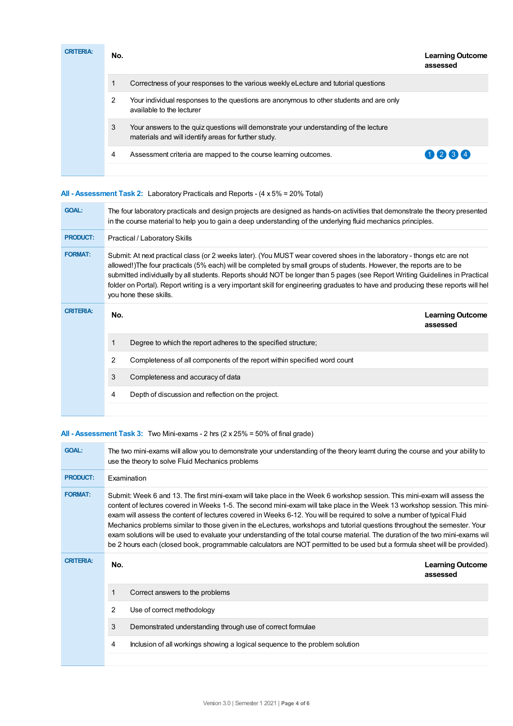| <b>CRITERIA:</b> | No. |                                                                                                                                               | <b>Learning Outcome</b><br>assessed |
|------------------|-----|-----------------------------------------------------------------------------------------------------------------------------------------------|-------------------------------------|
|                  |     | Correctness of your responses to the various weekly eLecture and tutorial questions                                                           |                                     |
|                  | 2   | Your individual responses to the questions are anonymous to other students and are only<br>available to the lecturer                          |                                     |
|                  | 3   | Your answers to the quiz questions will demonstrate your understanding of the lecture<br>materials and will identify areas for further study. |                                     |
|                  | 4   | Assessment criteria are mapped to the course learning outcomes.                                                                               | 1234                                |
|                  |     |                                                                                                                                               |                                     |

## **All - Assessment Task 2:** Laboratory Practicals and Reports - (4 x 5% = 20% Total)

| <b>GOAL:</b>     | The four laboratory practicals and design projects are designed as hands-on activities that demonstrate the theory presented<br>in the course material to help you to gain a deep understanding of the underlying fluid mechanics principles.                                                                                                                                                                                                                                                                                                    |                                                                          |                                     |  |  |  |  |
|------------------|--------------------------------------------------------------------------------------------------------------------------------------------------------------------------------------------------------------------------------------------------------------------------------------------------------------------------------------------------------------------------------------------------------------------------------------------------------------------------------------------------------------------------------------------------|--------------------------------------------------------------------------|-------------------------------------|--|--|--|--|
| <b>PRODUCT:</b>  |                                                                                                                                                                                                                                                                                                                                                                                                                                                                                                                                                  | Practical / Laboratory Skills                                            |                                     |  |  |  |  |
| <b>FORMAT:</b>   | Submit: At next practical class (or 2 weeks later). (You MUST wear covered shoes in the laboratory - thongs etc are not<br>allowed!)The four practicals (5% each) will be completed by small groups of students. However, the reports are to be<br>submitted individually by all students. Reports should NOT be longer than 5 pages (see Report Writing Guidelines in Practical<br>folder on Portal). Report writing is a very important skill for engineering graduates to have and producing these reports will hel<br>you hone these skills. |                                                                          |                                     |  |  |  |  |
| <b>CRITERIA:</b> | No.                                                                                                                                                                                                                                                                                                                                                                                                                                                                                                                                              |                                                                          | <b>Learning Outcome</b><br>assessed |  |  |  |  |
|                  |                                                                                                                                                                                                                                                                                                                                                                                                                                                                                                                                                  | Degree to which the report adheres to the specified structure;           |                                     |  |  |  |  |
|                  | 2                                                                                                                                                                                                                                                                                                                                                                                                                                                                                                                                                | Completeness of all components of the report within specified word count |                                     |  |  |  |  |
|                  | 3                                                                                                                                                                                                                                                                                                                                                                                                                                                                                                                                                | Completeness and accuracy of data                                        |                                     |  |  |  |  |
|                  | 4                                                                                                                                                                                                                                                                                                                                                                                                                                                                                                                                                | Depth of discussion and reflection on the project.                       |                                     |  |  |  |  |
|                  |                                                                                                                                                                                                                                                                                                                                                                                                                                                                                                                                                  |                                                                          |                                     |  |  |  |  |

## **All - Assessment Task 3:** Two Mini-exams - 2 hrs (2 x 25% = 50% of final grade)

| <b>GOAL:</b>     |                                                                                                                                                                                                                                                                                                                                                                                                                                                                                                                                                                                                                                                                                                                                                                                   | The two mini-exams will allow you to demonstrate your understanding of the theory learnt during the course and your ability to<br>use the theory to solve Fluid Mechanics problems |  |  |  |
|------------------|-----------------------------------------------------------------------------------------------------------------------------------------------------------------------------------------------------------------------------------------------------------------------------------------------------------------------------------------------------------------------------------------------------------------------------------------------------------------------------------------------------------------------------------------------------------------------------------------------------------------------------------------------------------------------------------------------------------------------------------------------------------------------------------|------------------------------------------------------------------------------------------------------------------------------------------------------------------------------------|--|--|--|
| <b>PRODUCT:</b>  |                                                                                                                                                                                                                                                                                                                                                                                                                                                                                                                                                                                                                                                                                                                                                                                   | <b>Fxamination</b>                                                                                                                                                                 |  |  |  |
| <b>FORMAT:</b>   | Submit: Week 6 and 13. The first mini-exam will take place in the Week 6 workshop session. This mini-exam will assess the<br>content of lectures covered in Weeks 1-5. The second mini-exam will take place in the Week 13 workshop session. This mini-<br>exam will assess the content of lectures covered in Weeks 6-12. You will be required to solve a number of typical Fluid<br>Mechanics problems similar to those given in the eLectures, workshops and tutorial questions throughout the semester. Your<br>exam solutions will be used to evaluate your understanding of the total course material. The duration of the two mini-exams wil<br>be 2 hours each (closed book, programmable calculators are NOT permitted to be used but a formula sheet will be provided). |                                                                                                                                                                                    |  |  |  |
| <b>CRITERIA:</b> | No.                                                                                                                                                                                                                                                                                                                                                                                                                                                                                                                                                                                                                                                                                                                                                                               | <b>Learning Outcome</b>                                                                                                                                                            |  |  |  |
|                  |                                                                                                                                                                                                                                                                                                                                                                                                                                                                                                                                                                                                                                                                                                                                                                                   | assessed                                                                                                                                                                           |  |  |  |
|                  |                                                                                                                                                                                                                                                                                                                                                                                                                                                                                                                                                                                                                                                                                                                                                                                   | Correct answers to the problems                                                                                                                                                    |  |  |  |
|                  | 2                                                                                                                                                                                                                                                                                                                                                                                                                                                                                                                                                                                                                                                                                                                                                                                 | Use of correct methodology                                                                                                                                                         |  |  |  |
|                  | 3                                                                                                                                                                                                                                                                                                                                                                                                                                                                                                                                                                                                                                                                                                                                                                                 | Demonstrated understanding through use of correct formulae                                                                                                                         |  |  |  |
|                  | 4                                                                                                                                                                                                                                                                                                                                                                                                                                                                                                                                                                                                                                                                                                                                                                                 | Inclusion of all workings showing a logical sequence to the problem solution                                                                                                       |  |  |  |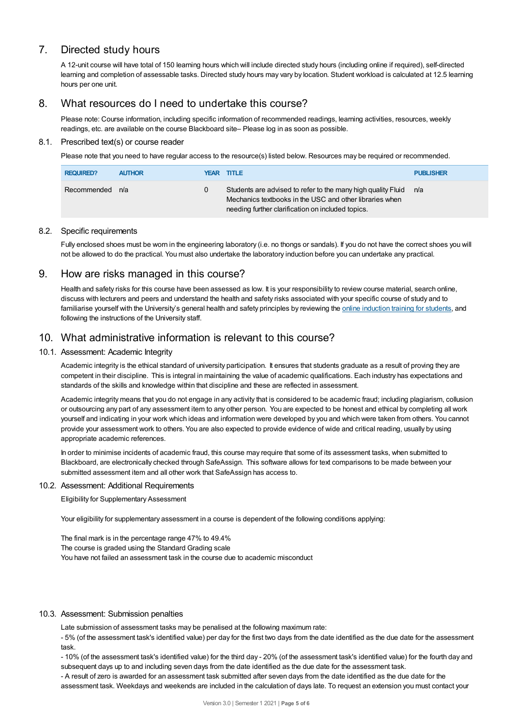# 7. Directed study hours

A 12-unit course will have total of 150 learning hours which will include directed study hours (including online if required), self-directed learning and completion of assessable tasks. Directed study hours may vary by location. Student workload is calculated at 12.5 learning hours per one unit.

# 8. What resources do I need to undertake this course?

Please note: Course information, including specific information of recommended readings, learning activities, resources, weekly readings, etc. are available on the course Blackboard site– Please log in as soon as possible.

## 8.1. Prescribed text(s) or course reader

Please note that you need to have regular access to the resource(s) listed below. Resources may be required or recommended.

| <b>REQUIRED?</b> | <b>AUTHOR</b> | <b>YEAR TITLE</b>                                                                                                                                                            | <b>PUBLISHER</b> |
|------------------|---------------|------------------------------------------------------------------------------------------------------------------------------------------------------------------------------|------------------|
| Recommended n/a  |               | Students are advised to refer to the many high quality Fluid<br>Mechanics textbooks in the USC and other libraries when<br>needing further clarification on included topics. | n/a              |

## 8.2. Specific requirements

Fully enclosed shoes must be worn in the engineering laboratory (i.e. no thongs or sandals). If you do not have the correct shoes you will not be allowed to do the practical. You must also undertake the laboratory induction before you can undertake any practical.

## 9. How are risks managed in this course?

Health and safety risks for this course have been assessed as low. It is your responsibility to review course material, search online, discuss with lecturers and peers and understand the health and safety risks associated with your specific course of study and to familiarise yourself with the University's general health and safety principles by reviewing the online [induction](https://online.usc.edu.au/webapps/blackboard/content/listContentEditable.jsp?content_id=_632657_1&course_id=_14432_1) training for students, and following the instructions of the University staff.

# 10. What administrative information is relevant to this course?

## 10.1. Assessment: Academic Integrity

Academic integrity is the ethical standard of university participation. It ensures that students graduate as a result of proving they are competent in their discipline. This is integral in maintaining the value of academic qualifications. Each industry has expectations and standards of the skills and knowledge within that discipline and these are reflected in assessment.

Academic integrity means that you do not engage in any activity that is considered to be academic fraud; including plagiarism, collusion or outsourcing any part of any assessment item to any other person. You are expected to be honest and ethical by completing all work yourself and indicating in your work which ideas and information were developed by you and which were taken from others. You cannot provide your assessment work to others. You are also expected to provide evidence of wide and critical reading, usually by using appropriate academic references.

In order to minimise incidents of academic fraud, this course may require that some of its assessment tasks, when submitted to Blackboard, are electronically checked through SafeAssign. This software allows for text comparisons to be made between your submitted assessment item and all other work that SafeAssign has access to.

## 10.2. Assessment: Additional Requirements

Eligibility for Supplementary Assessment

Your eligibility for supplementary assessment in a course is dependent of the following conditions applying:

The final mark is in the percentage range 47% to 49.4% The course is graded using the Standard Grading scale You have not failed an assessment task in the course due to academic misconduct

## 10.3. Assessment: Submission penalties

Late submission of assessment tasks may be penalised at the following maximum rate:

- 5% (of the assessment task's identified value) per day for the first two days from the date identified as the due date for the assessment task.

- 10% (of the assessment task's identified value) for the third day - 20% (of the assessment task's identified value) for the fourth day and subsequent days up to and including seven days from the date identified as the due date for the assessment task.

- A result of zero is awarded for an assessment task submitted after seven days from the date identified as the due date for the assessment task. Weekdays and weekends are included in the calculation of days late. To request an extension you must contact your